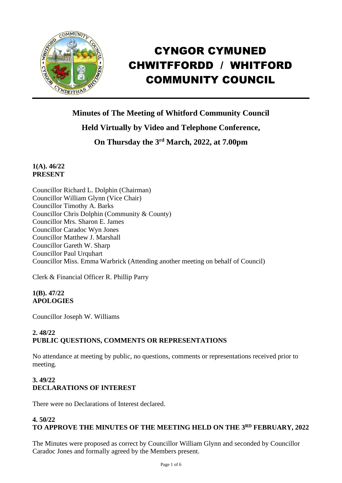

# CYNGOR CYMUNED CHWITFFORDD / WHITFORD COMMUNITY COUNCIL

**Minutes of The Meeting of Whitford Community Council Held Virtually by Video and Telephone Conference,**

**On Thursday the 3 rd March, 2022, at 7.00pm** 

**1(A). 46/22 PRESENT**

Councillor Richard L. Dolphin (Chairman) Councillor William Glynn (Vice Chair) Councillor Timothy A. Barks Councillor Chris Dolphin (Community & County) Councillor Mrs. Sharon E. James Councillor Caradoc Wyn Jones Councillor Matthew J. Marshall Councillor Gareth W. Sharp Councillor Paul Urquhart Councillor Miss. Emma Warbrick (Attending another meeting on behalf of Council)

Clerk & Financial Officer R. Phillip Parry

**1(B). 47/22 APOLOGIES**

Councillor Joseph W. Williams

# **2. 48/22 PUBLIC QUESTIONS, COMMENTS OR REPRESENTATIONS**

No attendance at meeting by public, no questions, comments or representations received prior to meeting.

# **3. 49/22 DECLARATIONS OF INTEREST**

There were no Declarations of Interest declared.

## **4. 50/22 TO APPROVE THE MINUTES OF THE MEETING HELD ON THE 3 RD FEBRUARY, 2022**

The Minutes were proposed as correct by Councillor William Glynn and seconded by Councillor Caradoc Jones and formally agreed by the Members present.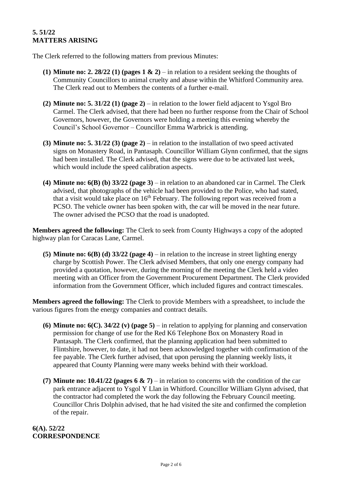## **5. 51/22 MATTERS ARISING**

The Clerk referred to the following matters from previous Minutes:

- **(1) Minute no: 2. 28/22 (1) (pages 1 & 2)** in relation to a resident seeking the thoughts of Community Councillors to animal cruelty and abuse within the Whitford Community area. The Clerk read out to Members the contents of a further e-mail.
- **(2) Minute no: 5. 31/22 (1) (page 2)** in relation to the lower field adjacent to Ysgol Bro Carmel. The Clerk advised, that there had been no further response from the Chair of School Governors, however, the Governors were holding a meeting this evening whereby the Council's School Governor – Councillor Emma Warbrick is attending.
- **(3) Minute no: 5. 31/22 (3) (page 2)** in relation to the installation of two speed activated signs on Monastery Road, in Pantasaph. Councillor William Glynn confirmed, that the signs had been installed. The Clerk advised, that the signs were due to be activated last week, which would include the speed calibration aspects.
- **(4) Minute no: 6(B) (b) 33/22 (page 3)** in relation to an abandoned car in Carmel. The Clerk advised, that photographs of the vehicle had been provided to the Police, who had stated, that a visit would take place on  $16<sup>th</sup>$  February. The following report was received from a PCSO. The vehicle owner has been spoken with, the car will be moved in the near future. The owner advised the PCSO that the road is unadopted.

**Members agreed the following:** The Clerk to seek from County Highways a copy of the adopted highway plan for Caracas Lane, Carmel.

**(5) Minute no: 6(B) (d) 33/22 (page 4)** – in relation to the increase in street lighting energy charge by Scottish Power. The Clerk advised Members, that only one energy company had provided a quotation, however, during the morning of the meeting the Clerk held a video meeting with an Officer from the Government Procurement Department. The Clerk provided information from the Government Officer, which included figures and contract timescales.

**Members agreed the following:** The Clerk to provide Members with a spreadsheet, to include the various figures from the energy companies and contract details.

- **(6) Minute no: 6(C). 34/22 (v) (page 5)** in relation to applying for planning and conservation permission for change of use for the Red K6 Telephone Box on Monastery Road in Pantasaph. The Clerk confirmed, that the planning application had been submitted to Flintshire, however, to date, it had not been acknowledged together with confirmation of the fee payable. The Clerk further advised, that upon perusing the planning weekly lists, it appeared that County Planning were many weeks behind with their workload.
- **(7) Minute no: 10.41/22 (pages 6 & 7)** in relation to concerns with the condition of the car park entrance adjacent to Ysgol Y Llan in Whitford. Councillor William Glynn advised, that the contractor had completed the work the day following the February Council meeting. Councillor Chris Dolphin advised, that he had visited the site and confirmed the completion of the repair.

## **6(A). 52/22 CORRESPONDENCE**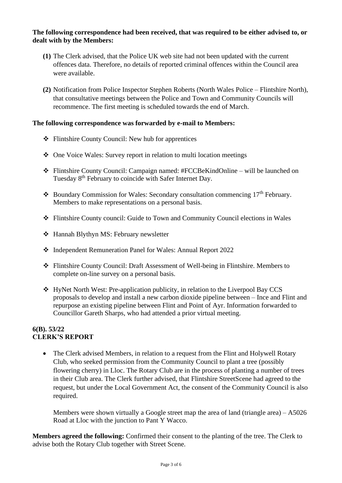#### **The following correspondence had been received, that was required to be either advised to, or dealt with by the Members:**

- **(1)** The Clerk advised, that the Police UK web site had not been updated with the current offences data. Therefore, no details of reported criminal offences within the Council area were available.
- **(2)** Notification from Police Inspector Stephen Roberts (North Wales Police Flintshire North), that consultative meetings between the Police and Town and Community Councils will recommence. The first meeting is scheduled towards the end of March.

## **The following correspondence was forwarded by e-mail to Members:**

- ❖ Flintshire County Council: New hub for apprentices
- ❖ One Voice Wales: Survey report in relation to multi location meetings
- ❖ Flintshire County Council: Campaign named: #FCCBeKindOnline will be launched on Tuesday 8<sup>th</sup> February to coincide with Safer Internet Day.
- ❖ Boundary Commission for Wales: Secondary consultation commencing 17th February. Members to make representations on a personal basis.
- ❖ Flintshire County council: Guide to Town and Community Council elections in Wales
- ❖ Hannah Blythyn MS: February newsletter
- ❖ Independent Remuneration Panel for Wales: Annual Report 2022
- ❖ Flintshire County Council: Draft Assessment of Well-being in Flintshire. Members to complete on-line survey on a personal basis.
- ❖ HyNet North West: Pre-application publicity, in relation to the Liverpool Bay CCS proposals to develop and install a new carbon dioxide pipeline between – Ince and Flint and repurpose an existing pipeline between Flint and Point of Ayr. Information forwarded to Councillor Gareth Sharps, who had attended a prior virtual meeting.

## **6(B). 53/22 CLERK'S REPORT**

• The Clerk advised Members, in relation to a request from the Flint and Holywell Rotary Club, who seeked permission from the Community Council to plant a tree (possibly flowering cherry) in Lloc. The Rotary Club are in the process of planting a number of trees in their Club area. The Clerk further advised, that Flintshire StreetScene had agreed to the request, but under the Local Government Act, the consent of the Community Council is also required.

Members were shown virtually a Google street map the area of land (triangle area) – A5026 Road at Lloc with the junction to Pant Y Wacco.

**Members agreed the following:** Confirmed their consent to the planting of the tree. The Clerk to advise both the Rotary Club together with Street Scene.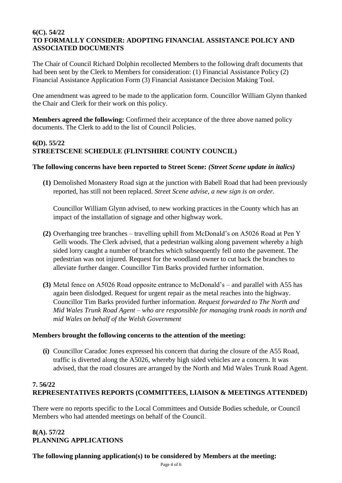#### **6(C). 54/22 TO FORMALLY CONSIDER: ADOPTING FINANCIAL ASSISTANCE POLICY AND ASSOCIATED DOCUMENTS**

The Chair of Council Richard Dolphin recollected Members to the following draft documents that had been sent by the Clerk to Members for consideration: (1) Financial Assistance Policy (2) Financial Assistance Application Form (3) Financial Assistance Decision Making Tool.

One amendment was agreed to be made to the application form. Councillor William Glynn thanked the Chair and Clerk for their work on this policy.

**Members agreed the following:** Confirmed their acceptance of the three above named policy documents. The Clerk to add to the list of Council Policies.

# **6(D). 55/22 STREETSCENE SCHEDULE (FLINTSHIRE COUNTY COUNCIL)**

#### **The following concerns have been reported to Street Scene:** *(Street Scene update in italics)*

**(1)** Demolished Monastery Road sign at the junction with Babell Road that had been previously reported, has still not been replaced. *Street Scene advise, a new sign is on order.*

Councillor William Glynn advised, to new working practices in the County which has an impact of the installation of signage and other highway work.

- **(2)** Overhanging tree branches travelling uphill from McDonald's on A5026 Road at Pen Y Gelli woods. The Clerk advised, that a pedestrian walking along pavement whereby a high sided lorry caught a number of branches which subsequently fell onto the pavement. The pedestrian was not injured. Request for the woodland owner to cut back the branches to alleviate further danger. Councillor Tim Barks provided further information.
- **(3)** Metal fence on A5026 Road opposite entrance to McDonald's and parallel with A55 has again been dislodged. Request for urgent repair as the metal reaches into the highway. Councillor Tim Barks provided further information. *Request forwarded to The North and Mid Wales Trunk Road Agent – who are responsible for managing trunk roads in north and mid Wales on behalf of the Welsh Government*

#### **Members brought the following concerns to the attention of the meeting:**

**(i)** Councillor Caradoc Jones expressed his concern that during the closure of the A55 Road, traffic is diverted along the A5026, whereby high sided vehicles are a concern. It was advised, that the road closures are arranged by the North and Mid Wales Trunk Road Agent.

# **7. 56/22 REPRESENTATIVES REPORTS (COMMITTEES, LIAISON & MEETINGS ATTENDED)**

There were no reports specific to the Local Committees and Outside Bodies schedule, or Council Members who had attended meetings on behalf of the Council.

# **8(A). 57/22 PLANNING APPLICATIONS**

## **The following planning application(s) to be considered by Members at the meeting:**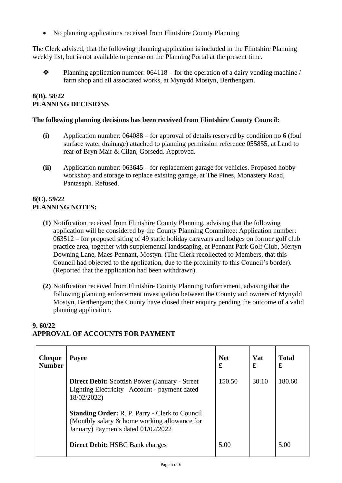• No planning applications received from Flintshire County Planning

The Clerk advised, that the following planning application is included in the Flintshire Planning weekly list, but is not available to peruse on the Planning Portal at the present time.

 $\bullet$  Planning application number: 064118 – for the operation of a dairy vending machine / farm shop and all associated works, at Mynydd Mostyn, Berthengam.

### **8(B). 58/22 PLANNING DECISIONS**

#### **The following planning decisions has been received from Flintshire County Council:**

- **(i)** Application number: 064088 for approval of details reserved by condition no 6 (foul surface water drainage) attached to planning permission reference 055855, at Land to rear of Bryn Mair & Cilan, Gorsedd. Approved.
- **(ii)** Application number: 063645 for replacement garage for vehicles. Proposed hobby workshop and storage to replace existing garage, at The Pines, Monastery Road, Pantasaph. Refused.

## **8(C). 59/22 PLANNING NOTES:**

- **(1)** Notification received from Flintshire County Planning, advising that the following application will be considered by the County Planning Committee: Application number: 063512 – for proposed siting of 49 static holiday caravans and lodges on former golf club practice area, together with supplemental landscaping, at Pennant Park Golf Club, Mertyn Downing Lane, Maes Pennant, Mostyn. (The Clerk recollected to Members, that this Council had objected to the application, due to the proximity to this Council's border). (Reported that the application had been withdrawn).
- **(2)** Notification received from Flintshire County Planning Enforcement, advising that the following planning enforcement investigation between the County and owners of Mynydd Mostyn, Berthengam; the County have closed their enquiry pending the outcome of a valid planning application.

| <b>Cheque</b><br><b>Number</b> | <b>Payee</b>                                                                                                                                | <b>Net</b><br>£ | <b>Vat</b><br>£ | <b>Total</b><br>£ |
|--------------------------------|---------------------------------------------------------------------------------------------------------------------------------------------|-----------------|-----------------|-------------------|
|                                | <b>Direct Debit:</b> Scottish Power (January - Street)<br>Lighting Electricity Account - payment dated<br>18/02/2022)                       | 150.50          | 30.10           | 180.60            |
|                                | <b>Standing Order: R. P. Parry - Clerk to Council</b><br>(Monthly salary & home working allowance for<br>January) Payments dated 01/02/2022 |                 |                 |                   |
|                                | <b>Direct Debit: HSBC Bank charges</b>                                                                                                      | 5.00            |                 | 5.00              |

# **9. 60/22 APPROVAL OF ACCOUNTS FOR PAYMENT**